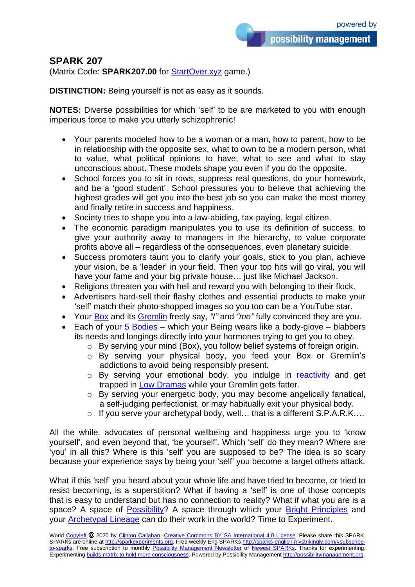## **SPARK 207**

(Matrix Code: **SPARK207.00** for [StartOver.xyz](http://startoverxyz.mystrikingly.com/) game.)

**DISTINCTION:** Being yourself is not as easy as it sounds.

**NOTES:** Diverse possibilities for which 'self' to be are marketed to you with enough imperious force to make you utterly schizophrenic!

- Your parents modeled how to be a woman or a man, how to parent, how to be in relationship with the opposite sex, what to own to be a modern person, what to value, what political opinions to have, what to see and what to stay unconscious about. These models shape you even if you do the opposite.
- School forces you to sit in rows, suppress real questions, do your homework, and be a 'good student'. School pressures you to believe that achieving the highest grades will get you into the best job so you can make the most money and finally retire in success and happiness.
- Society tries to shape you into a law-abiding, tax-paying, legal citizen.
- The economic paradigm manipulates you to use its definition of success, to give your authority away to managers in the hierarchy, to value corporate profits above all – regardless of the consequences, even planetary suicide.
- Success promoters taunt you to clarify your goals, stick to you plan, achieve your vision, be a 'leader' in your field. Then your top hits will go viral, you will have your fame and your big private house… just like Michael Jackson.
- Religions threaten you with hell and reward you with belonging to their flock.
- Advertisers hard-sell their flashy clothes and essential products to make your 'self' match their photo-shopped images so you too can be a YouTube star.
- Your [Box](http://boxtechnology.mystrikingly.com/) and its [Gremlin](http://yourgremlin.mystrikingly.com/) freely say, *"I"* and *"me"* fully convinced they are you.
- Each of your  $5$  Bodies which your Being wears like a body-glove blabbers its needs and longings directly into your hormones trying to get you to obey.
	- o By serving your mind (Box), you follow belief systems of foreign origin.
	- o By serving your physical body, you feed your Box or Gremlin's addictions to avoid being responsibly present.
	- o By serving your emotional body, you indulge in [reactivity](http://reactivity.mystrikingly.com/) and get trapped in [Low Dramas](http://2dramas.mystrikingly.com/) while your Gremlin gets fatter.
	- o By serving your energetic body, you may become angelically fanatical, a self-judging perfectionist, or may habitually exit your physical body.
	- o If you serve your archetypal body, well… that is a different S.P.A.R.K….

All the while, advocates of personal wellbeing and happiness urge you to 'know yourself', and even beyond that, 'be yourself'. Which 'self' do they mean? Where are 'you' in all this? Where is this 'self' you are supposed to be? The idea is so scary because your experience says by being your 'self' you become a target others attack.

What if this 'self' you heard about your whole life and have tried to become, or tried to resist becoming, is a superstition? What if having a 'self' is one of those concepts that is easy to understand but has no connection to reality? What if what you are is a space? A space of [Possibility?](http://possibility.mystrikingly.com/) A space through which your [Bright Principles](http://brightprinciples.mystrikingly.com/) and your [Archetypal Lineage](http://archetypallineage.mystrikingly.com/) can do their work in the world? Time to Experiment.